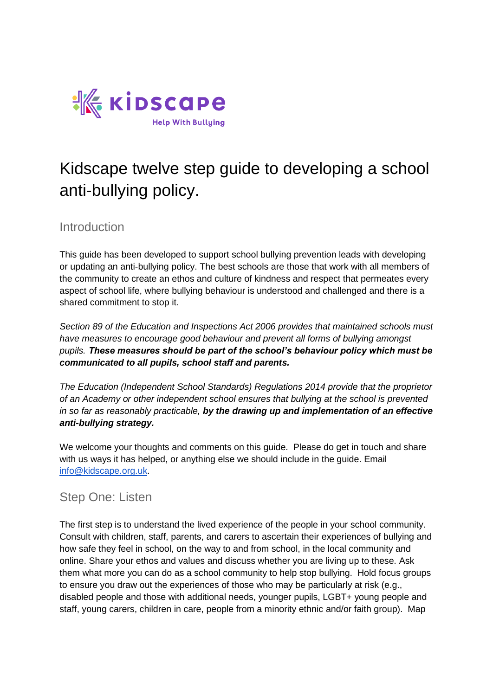

# Kidscape twelve step guide to developing a school anti-bullying policy.

#### **Introduction**

This guide has been developed to support school bullying prevention leads with developing or updating an anti-bullying policy. The best schools are those that work with all members of the community to create an ethos and culture of kindness and respect that permeates every aspect of school life, where bullying behaviour is understood and challenged and there is a shared commitment to stop it.

*Section 89 of the Education and Inspections Act 2006 provides that maintained schools must have measures to encourage good behaviour and prevent all forms of bullying amongst pupils. These measures should be part of the school's behaviour policy which must be communicated to all pupils, school staff and parents.* 

*The Education (Independent School Standards) Regulations 2014 provide that the proprietor of an Academy or other independent school ensures that bullying at the school is prevented in so far as reasonably practicable, by the drawing up and implementation of an effective anti-bullying strategy.*

We welcome your thoughts and comments on this guide. Please do get in touch and share with us ways it has helped, or anything else we should include in the guide. Email [info@kidscape.org.uk.](mailto:info@kidscape.org.uk)

## Step One: Listen

The first step is to understand the lived experience of the people in your school community. Consult with children, staff, parents, and carers to ascertain their experiences of bullying and how safe they feel in school, on the way to and from school, in the local community and online. Share your ethos and values and discuss whether you are living up to these. Ask them what more you can do as a school community to help stop bullying. Hold focus groups to ensure you draw out the experiences of those who may be particularly at risk (e.g., disabled people and those with additional needs, younger pupils, LGBT+ young people and staff, young carers, children in care, people from a minority ethnic and/or faith group). Map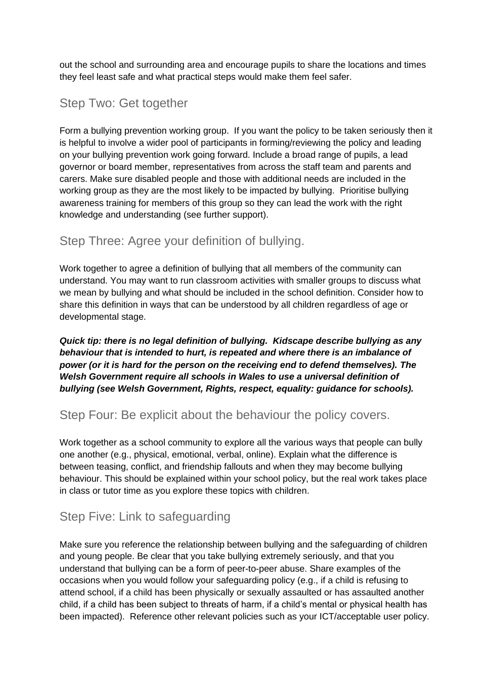out the school and surrounding area and encourage pupils to share the locations and times they feel least safe and what practical steps would make them feel safer.

#### Step Two: Get together

Form a bullying prevention working group. If you want the policy to be taken seriously then it is helpful to involve a wider pool of participants in forming/reviewing the policy and leading on your bullying prevention work going forward. Include a broad range of pupils, a lead governor or board member, representatives from across the staff team and parents and carers. Make sure disabled people and those with additional needs are included in the working group as they are the most likely to be impacted by bullying. Prioritise bullying awareness training for members of this group so they can lead the work with the right knowledge and understanding (see further support).

## Step Three: Agree your definition of bullying.

Work together to agree a definition of bullying that all members of the community can understand. You may want to run classroom activities with smaller groups to discuss what we mean by bullying and what should be included in the school definition. Consider how to share this definition in ways that can be understood by all children regardless of age or developmental stage.

*Quick tip: there is no legal definition of bullying. Kidscape describe bullying as any behaviour that is intended to hurt, is repeated and where there is an imbalance of power (or it is hard for the person on the receiving end to defend themselves). The Welsh Government require all schools in Wales to use a universal definition of bullying (see Welsh Government, Rights, respect, equality: guidance for schools).*

#### Step Four: Be explicit about the behaviour the policy covers.

Work together as a school community to explore all the various ways that people can bully one another (e.g., physical, emotional, verbal, online). Explain what the difference is between teasing, conflict, and friendship fallouts and when they may become bullying behaviour. This should be explained within your school policy, but the real work takes place in class or tutor time as you explore these topics with children.

## Step Five: Link to safeguarding

Make sure you reference the relationship between bullying and the safeguarding of children and young people. Be clear that you take bullying extremely seriously, and that you understand that bullying can be a form of peer-to-peer abuse. Share examples of the occasions when you would follow your safeguarding policy (e.g., if a child is refusing to attend school, if a child has been physically or sexually assaulted or has assaulted another child, if a child has been subject to threats of harm, if a child's mental or physical health has been impacted). Reference other relevant policies such as your ICT/acceptable user policy.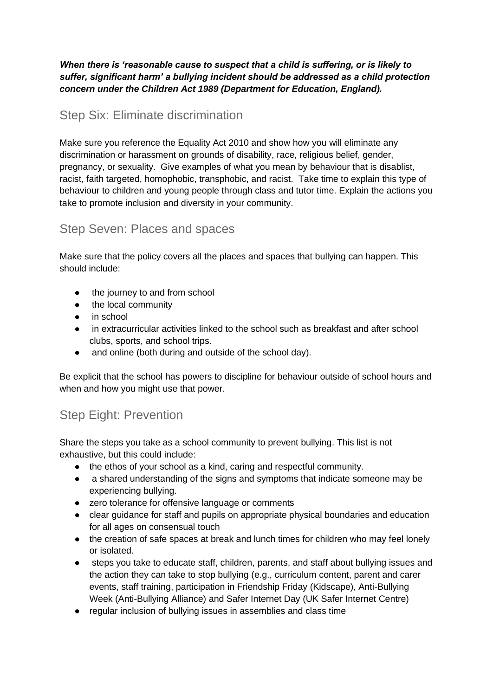*When there is 'reasonable cause to suspect that a child is suffering, or is likely to suffer, significant harm' a bullying incident should be addressed as a child protection concern under the Children Act 1989 (Department for Education, England).* 

## Step Six: Eliminate discrimination

Make sure you reference the Equality Act 2010 and show how you will eliminate any discrimination or harassment on grounds of disability, race, religious belief, gender, pregnancy, or sexuality. Give examples of what you mean by behaviour that is disablist, racist, faith targeted, homophobic, transphobic, and racist. Take time to explain this type of behaviour to children and young people through class and tutor time. Explain the actions you take to promote inclusion and diversity in your community.

## Step Seven: Places and spaces

Make sure that the policy covers all the places and spaces that bullying can happen. This should include:

- the journey to and from school
- the local community
- in school
- in extracurricular activities linked to the school such as breakfast and after school clubs, sports, and school trips.
- and online (both during and outside of the school day).

Be explicit that the school has powers to discipline for behaviour outside of school hours and when and how you might use that power.

# Step Eight: Prevention

Share the steps you take as a school community to prevent bullying. This list is not exhaustive, but this could include:

- the ethos of your school as a kind, caring and respectful community.
- a shared understanding of the signs and symptoms that indicate someone may be experiencing bullying.
- zero tolerance for offensive language or comments
- clear guidance for staff and pupils on appropriate physical boundaries and education for all ages on consensual touch
- the creation of safe spaces at break and lunch times for children who may feel lonely or isolated.
- steps you take to educate staff, children, parents, and staff about bullying issues and the action they can take to stop bullying (e.g., curriculum content, parent and carer events, staff training, participation in Friendship Friday (Kidscape), Anti-Bullying Week (Anti-Bullying Alliance) and Safer Internet Day (UK Safer Internet Centre)
- regular inclusion of bullying issues in assemblies and class time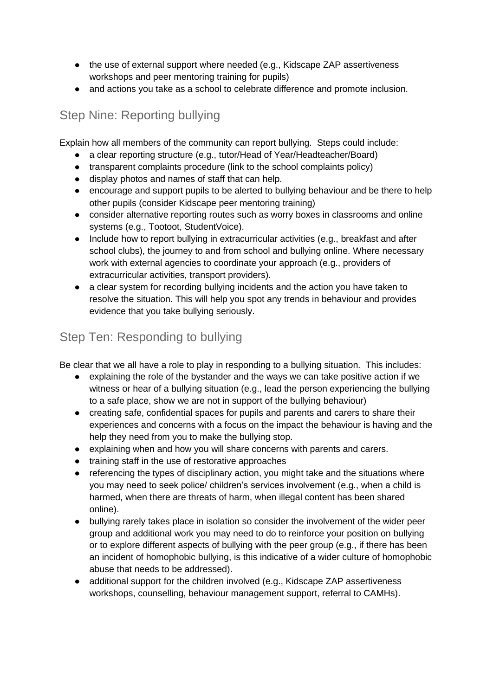- the use of external support where needed (e.g., Kidscape ZAP assertiveness workshops and peer mentoring training for pupils)
- and actions you take as a school to celebrate difference and promote inclusion.

# Step Nine: Reporting bullying

Explain how all members of the community can report bullying. Steps could include:

- a clear reporting structure (e.g., tutor/Head of Year/Headteacher/Board)
- transparent complaints procedure (link to the school complaints policy)
- display photos and names of staff that can help.
- encourage and support pupils to be alerted to bullying behaviour and be there to help other pupils (consider Kidscape peer mentoring training)
- consider alternative reporting routes such as worry boxes in classrooms and online systems (e.g., Tootoot, StudentVoice).
- Include how to report bullying in extracurricular activities (e.g., breakfast and after school clubs), the journey to and from school and bullying online. Where necessary work with external agencies to coordinate your approach (e.g., providers of extracurricular activities, transport providers).
- a clear system for recording bullying incidents and the action you have taken to resolve the situation. This will help you spot any trends in behaviour and provides evidence that you take bullying seriously.

## Step Ten: Responding to bullying

Be clear that we all have a role to play in responding to a bullying situation. This includes:

- explaining the role of the bystander and the ways we can take positive action if we witness or hear of a bullying situation (e.g., lead the person experiencing the bullying to a safe place, show we are not in support of the bullying behaviour)
- creating safe, confidential spaces for pupils and parents and carers to share their experiences and concerns with a focus on the impact the behaviour is having and the help they need from you to make the bullying stop.
- explaining when and how you will share concerns with parents and carers.
- training staff in the use of restorative approaches
- referencing the types of disciplinary action, you might take and the situations where you may need to seek police/ children's services involvement (e.g., when a child is harmed, when there are threats of harm, when illegal content has been shared online).
- bullying rarely takes place in isolation so consider the involvement of the wider peer group and additional work you may need to do to reinforce your position on bullying or to explore different aspects of bullying with the peer group (e.g., if there has been an incident of homophobic bullying, is this indicative of a wider culture of homophobic abuse that needs to be addressed).
- additional support for the children involved (e.g., Kidscape ZAP assertiveness workshops, counselling, behaviour management support, referral to CAMHs).